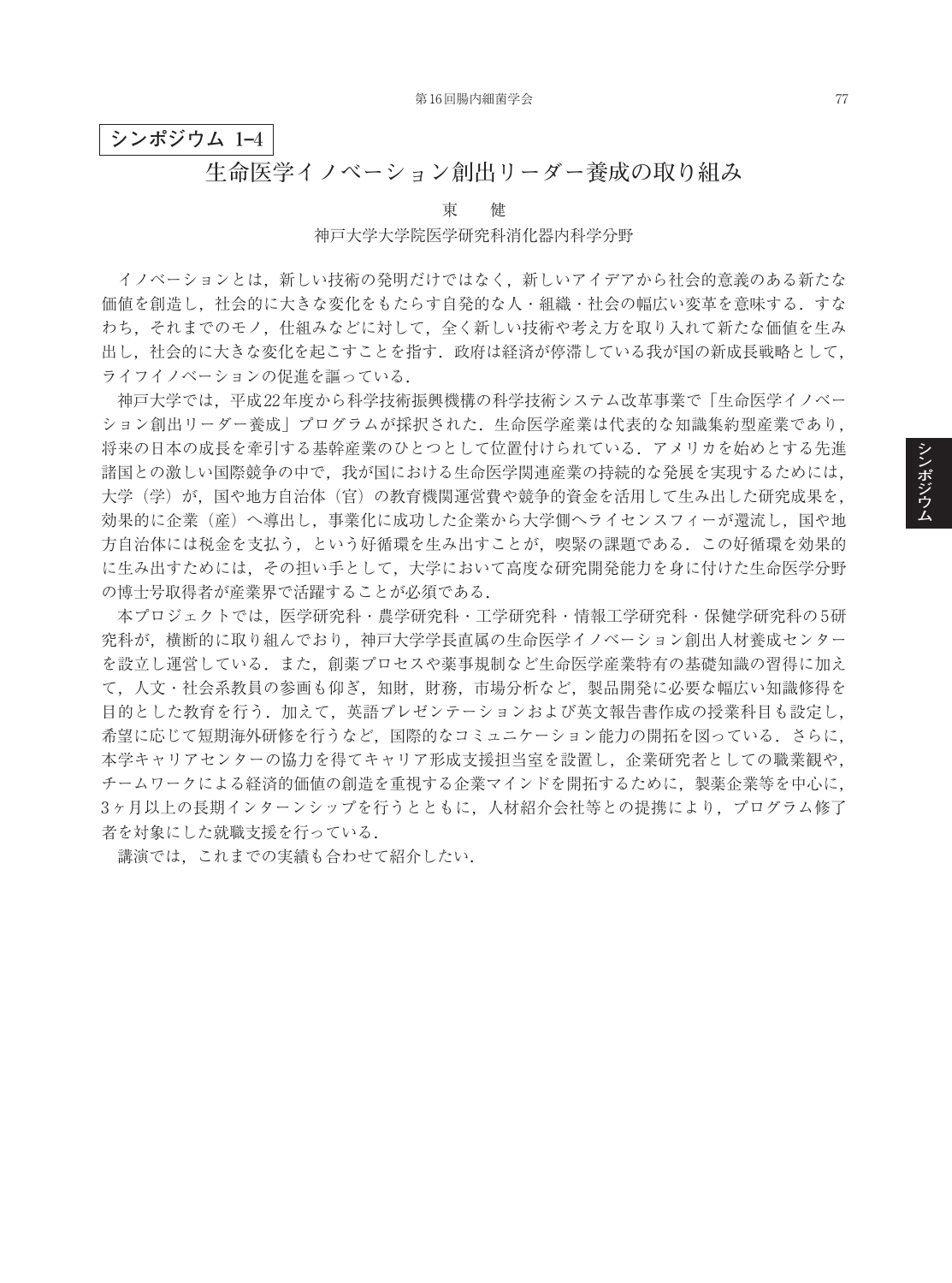## **シンポジウム 1–4**

## **生命医学イノベーション創出リーダー養成の取り組み**

東 健

#### 神戸大学大学院医学研究科消化器内科学分野

イノベーションとは,新しい技術の発明だけではなく,新しいアイデアから社会的意義のある新たな 価値を創造し、社会的に大きな変化をもたらす自発的な人・組織・社会の幅広い変革を意味する.すな わち,それまでのモノ,仕組みなどに対して,全く新しい技術や考え方を取り入れて新たな価値を生み 出し,社会的に大きな変化を起こすことを指す.政府は経済が停滞している我が国の新成長戦略として, ライフイノベーションの促進を謳っている.

神戸大学では,平成22年度から科学技術振興機構の科学技術システム改革事業で「生命医学イノベー ション創出リーダー養成」プログラムが採択された.生命医学産業は代表的な知識集約型産業であり, 将来の日本の成長を牽引する基幹産業のひとつとして位置付けられている.アメリカを始めとする先進 諸国との激しい国際競争の中で,我が国における生命医学関連産業の持続的な発展を実現するためには, 大学(学)が,国や地方自治体(官)の教育機関運営費や競争的資金を活用して生み出した研究成果を, 効果的に企業(産)へ導出し,事業化に成功した企業から大学側へライセンスフィーが還流し,国や地 方自治体には税金を支払う,という好循環を生み出すことが,喫緊の課題である.この好循環を効果的 に生み出すためには,その担い手として,大学において高度な研究開発能力を身に付けた生命医学分野 の博士号取得者が産業界で活躍することが必須である.

本プロジェクトでは,医学研究科・農学研究科・工学研究科・情報工学研究科・保健学研究科の5研 究科が,横断的に取り組んでおり,神戸大学学長直属の生命医学イノベーション創出人材養成センター を設立し運営している.また,創薬プロセスや薬事規制など生命医学産業特有の基礎知識の習得に加え て,人文・社会系教員の参画も仰ぎ,知財,財務,市場分析など,製品開発に必要な幅広い知識修得を 目的とした教育を行う.加えて,英語プレゼンテーションおよび英文報告書作成の授業科目も設定し, 希望に応じて短期海外研修を行うなど,国際的なコミュニケーション能力の開拓を図っている.さらに, 本学キャリアセンターの協力を得てキャリア形成支援担当室を設置し,企業研究者としての職業観や, チームワークによる経済的価値の創造を重視する企業マインドを開拓するために,製薬企業等を中心に, 3ヶ月以上の長期インターンシップを行うとともに,人材紹介会社等との提携により,プログラム修了 者を対象にした就職支援を行っている.

講演では,これまでの実績も合わせて紹介したい.